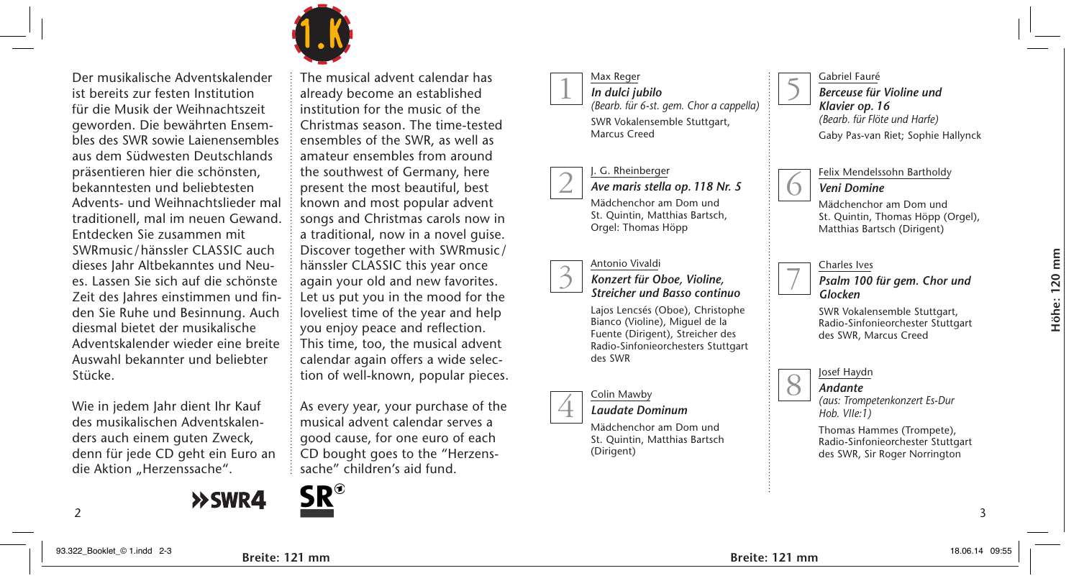

Der musikalische Adventskalender ist bereits zur festen Institution für die Musik der Weihnachtszeit geworden. Die bewährten Ensembles des SWR sowie Laienensembles aus dem Südwesten Deutschlands präsentieren hier die schönsten, bekanntesten und beliebtesten Advents- und Weihnachtslieder mal traditionell, mal im neuen Gewand. Entdecken Sie zusammen mit SWRmusic/hänssler CLASSIC auch dieses Jahr Altbekanntes und Neues. Lassen Sie sich auf die schönste Zeit des Jahres einstimmen und finden Sie Ruhe und Besinnung. Auch diesmal bietet der musikalische Adventskalender wieder eine breite Auswahl bekannter und beliebter Stücke.

Wie in jedem Jahr dient Ihr Kauf des musikalischen Adventskalenders auch einem guten Zweck, denn für jede CD geht ein Euro an die Aktion "Herzenssache".



The musical advent calendar has already become an established institution for the music of the Christmas season. The time-tested ensembles of the SWR, as well as amateur ensembles from around the southwest of Germany, here present the most beautiful, best known and most popular advent songs and Christmas carols now in a traditional, now in a novel guise. Discover together with SWRmusic/ hänssler CLASSIC this year once again your old and new favorites. Let us put you in the mood for the loveliest time of the year and help you enjoy peace and reflection. This time, too, the musical advent calendar again offers a wide selection of well-known, popular pieces.

As every year, your purchase of the musical advent calendar serves a good cause, for one euro of each CD bought goes to the "Herzenssache" children's aid fund.



Max Reger *In dulci jubilo* 1



. G. Rheinberger 2

*Ave maris stella op. 118 Nr. 5* Mädchenchor am Dom und St. Quintin, Matthias Bartsch, Orgel: Thomas Höpp



*Konzert für Oboe, Violine, Streicher und Basso continuo*

Lajos Lencsés (Oboe), Christophe Bianco (Violine), Miguel de la Fuente (Dirigent), Streicher des Radio-Sinfonieorchesters Stuttgart des SWR



#### *Laudate Dominum*

Mädchenchor am Dom und St. Quintin, Matthias Bartsch (Dirigent)



Felix Mendelssohn Bartholdy *Veni Domine*

Mädchenchor am Dom und St. Quintin, Thomas Höpp (Orgel), Matthias Bartsch (Dirigent)

## Charles Ives

5

6

7

8

*Psalm 100 für gem. Chor und Glocken*

SWR Vokalensemble Stuttgart, Radio-Sinfonieorchester Stuttgart des SWR, Marcus Creed

#### Josef Haydn

*Andante*

*(aus: Trompetenkonzert Es-Dur Hob. VIIe:1)*

Thomas Hammes (Trompete), Radio-Sinfonieorchester Stuttgart des SWR, Sir Roger Norrington

mm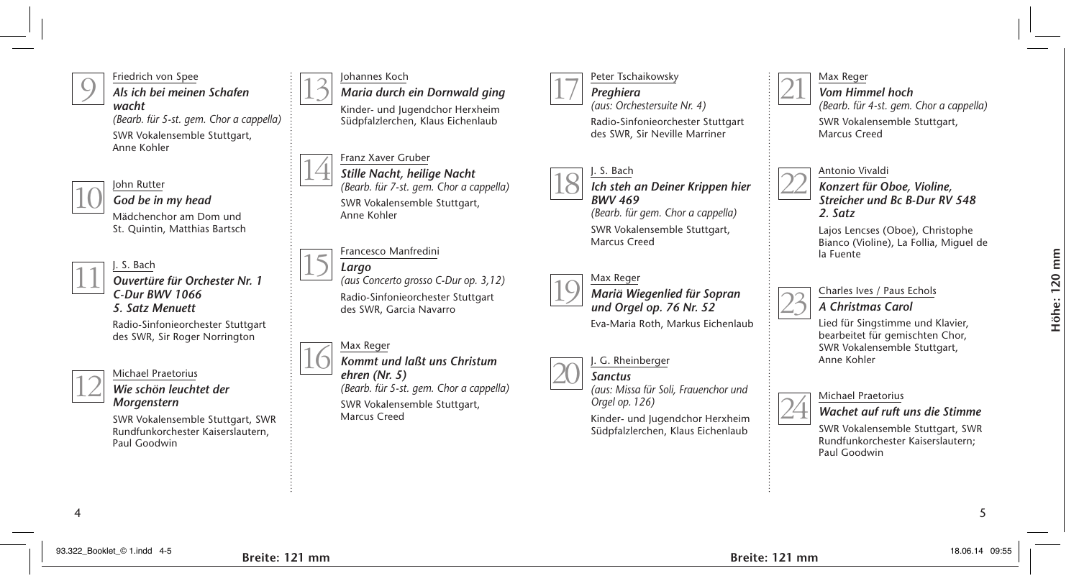

Friedrich von Spee *Als ich bei meinen Schafen wacht*

*(Bearb. für 5-st. gem. Chor a cappella)* SWR Vokalensemble Stuttgart, Anne Kohler



### John Rutter *God be in my head*

Mädchenchor am Dom und St. Quintin, Matthias Bartsch

## J. S. Bach *Ouvertüre für Orchester Nr. 1*

*C-Dur BWV 1066 5. Satz Menuett*

Radio-Sinfonieorchester Stuttgart des SWR, Sir Roger Norrington



# Michael Praetorius

*Wie schön leuchtet der Morgenstern*

SWR Vokalensemble Stuttgart, SWR Rundfunkorchester Kaiserslautern, Paul Goodwin



Johannes Koch

*Maria durch ein Dornwald ging* Kinder- und Jugendchor Herxheim Südpfalzlerchen, Klaus Eichenlaub





## Francesco Manfredini

*Largo (aus Concerto grosso C-Dur op. 3,12)* Radio-Sinfonieorchester Stuttgart des SWR, Garcia Navarro 15



*Kommt und laßt uns Christum ehren (Nr. 5) (Bearb. für 5-st. gem. Chor a cappella)* SWR Vokalensemble Stuttgart, Marcus Creed



Peter Tschaikowsky *Preghiera (aus: Orchestersuite Nr. 4)*

Radio-Sinfonieorchester Stuttgart des SWR, Sir Neville Marriner



*Ich steh an Deiner Krippen hier BWV 469* 

*(Bearb. für gem. Chor a cappella)* SWR Vokalensemble Stuttgart, Marcus Creed



*Mariä Wiegenlied für Sopran und Orgel op. 76 Nr. 52*

Eva-Maria Roth, Markus Eichenlaub

#### . G. Rheinberger *Sanctus* 20

*(aus: Missa für Soli, Frauenchor und* 

*Orgel op. 126)*

Kinder- und Jugendchor Herxheim Südpfalzlerchen, Klaus Eichenlaub



22

Max Reger *Vom Himmel hoch (Bearb. für 4-st. gem. Chor a cappella)*

SWR Vokalensemble Stuttgart, Marcus Creed

## Antonio Vivaldi

*Konzert für Oboe, Violine, Streicher und Bc B-Dur RV 548 2. Satz*

Lajos Lencses (Oboe), Christophe Bianco (Violine), La Follia, Miguel de la Fuente

### Charles Ives / Paus Echols



Lied für Singstimme und Klavier, bearbeitet für gemischten Chor, SWR Vokalensemble Stuttgart, Anne Kohler



## Michael Praetorius

*Wachet auf ruft uns die Stimme*

SWR Vokalensemble Stuttgart, SWR Rundfunkorchester Kaiserslautern; Paul Goodwin

4 5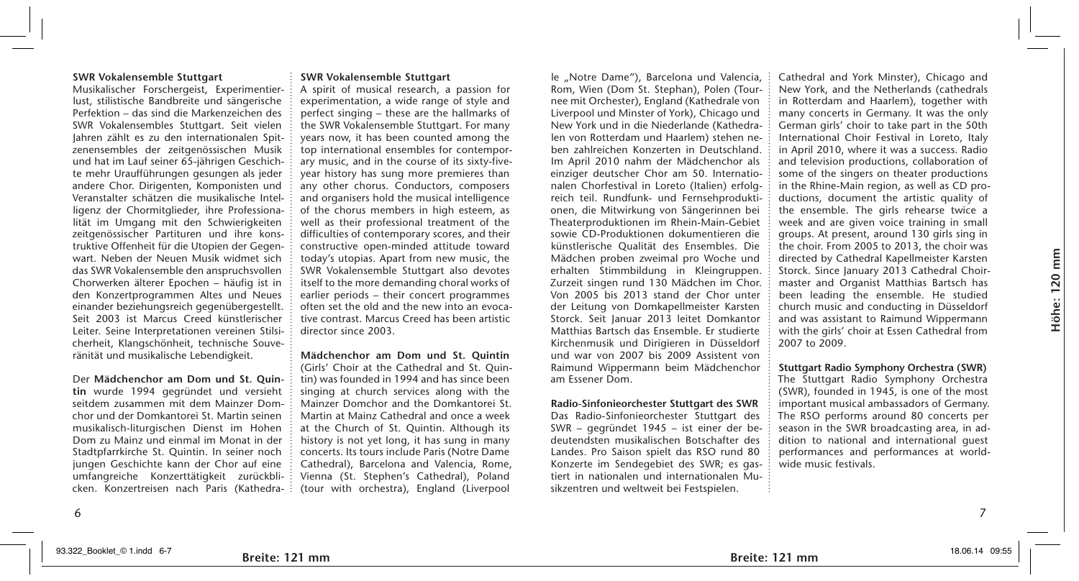Musikalischer Forschergeist, Experimentierlust, stilistische Bandbreite und sängerische Perfektion – das sind die Markenzeichen des SWR Vokalensembles Stuttgart. Seit vielen Jahren zählt es zu den internationalen Spitzenensembles der zeitgenössischen Musik und hat im Lauf seiner 65-jährigen Geschichte mehr Uraufführungen gesungen als jeder andere Chor. Dirigenten, Komponisten und Veranstalter schätzen die musikalische Intelligenz der Chormitglieder, ihre Professionalität im Umgang mit den Schwierigkeiten zeitgenössischer Partituren und ihre konstruktive Offenheit für die Utopien der Gegenwart. Neben der Neuen Musik widmet sich das SWR Vokalensemble den anspruchsvollen Chorwerken älterer Epochen – häufig ist in den Konzertprogrammen Altes und Neues einander beziehungsreich gegenübergestellt. Seit 2003 ist Marcus Creed künstlerischer Leiter. Seine Interpretationen vereinen Stilsicherheit, Klangschönheit, technische Souveränität und musikalische Lebendigkeit.

Der **Mädchenchor am Dom und St. Quintin** wurde 1994 gegründet und versieht seitdem zusammen mit dem Mainzer Domchor und der Domkantorei St. Martin seinen musikalisch-liturgischen Dienst im Hohen Dom zu Mainz und einmal im Monat in der Stadtpfarrkirche St. Quintin. In seiner noch jungen Geschichte kann der Chor auf eine umfangreiche Konzerttätigkeit zurückblicken. Konzertreisen nach Paris (Kathedra-

#### **SWR Vokalensemble Stuttgart**

A spirit of musical research, a passion for experimentation, a wide range of style and perfect singing – these are the hallmarks of the SWR Vokalensemble Stuttgart. For many years now, it has been counted among the top international ensembles for contemporary music, and in the course of its sixty-fiveyear history has sung more premieres than any other chorus. Conductors, composers and organisers hold the musical intelligence of the chorus members in high esteem, as well as their professional treatment of the difficulties of contemporary scores, and their constructive open-minded attitude toward today's utopias. Apart from new music, the SWR Vokalensemble Stuttgart also devotes itself to the more demanding choral works of earlier periods – their concert programmes often set the old and the new into an evocative contrast. Marcus Creed has been artistic director since 2003.

**Mädchenchor am Dom und St. Quintin** (Girls' Choir at the Cathedral and St. Quintin) was founded in 1994 and has since been singing at church services along with the Mainzer Domchor and the Domkantorei St. Martin at Mainz Cathedral and once a week at the Church of St. Quintin. Although its history is not yet long, it has sung in many concerts. Its tours include Paris (Notre Dame Cathedral), Barcelona and Valencia, Rome, Vienna (St. Stephen's Cathedral), Poland (tour with orchestra), England (Liverpool

le "Notre Dame"), Barcelona und Valencia, Rom, Wien (Dom St. Stephan), Polen (Tournee mit Orchester), England (Kathedrale von Liverpool und Minster of York), Chicago und New York und in die Niederlande (Kathedralen von Rotterdam und Haarlem) stehen neben zahlreichen Konzerten in Deutschland. Im April 2010 nahm der Mädchenchor als einziger deutscher Chor am 50. Internationalen Chorfestival in Loreto (Italien) erfolgreich teil. Rundfunk- und Fernsehproduktionen, die Mitwirkung von Sängerinnen bei Theaterproduktionen im Rhein-Main-Gebiet sowie CD-Produktionen dokumentieren die künstlerische Qualität des Ensembles. Die Mädchen proben zweimal pro Woche und erhalten Stimmbildung in Kleingruppen. Zurzeit singen rund 130 Mädchen im Chor. Von 2005 bis 2013 stand der Chor unter der Leitung von Domkapellmeister Karsten Storck. Seit Januar 2013 leitet Domkantor Matthias Bartsch das Ensemble. Er studierte Kirchenmusik und Dirigieren in Düsseldorf und war von 2007 bis 2009 Assistent von Raimund Wippermann beim Mädchenchor am Essener Dom.

#### **Radio-Sinfonieorchester Stuttgart des SWR**

Das Radio-Sinfonieorchester Stuttgart des SWR – gegründet 1945 – ist einer der bedeutendsten musikalischen Botschafter des Landes. Pro Saison spielt das RSO rund 80 Konzerte im Sendegebiet des SWR; es gastiert in nationalen und internationalen Musikzentren und weltweit bei Festspielen.

Cathedral and York Minster), Chicago and New York, and the Netherlands (cathedrals in Rotterdam and Haarlem), together with many concerts in Germany. It was the only German girls' choir to take part in the 50th International Choir Festival in Loreto, Italy in April 2010, where it was a success. Radio and television productions, collaboration of some of the singers on theater productions in the Rhine-Main region, as well as CD productions, document the artistic quality of the ensemble. The girls rehearse twice a week and are given voice training in small groups. At present, around 130 girls sing in the choir. From 2005 to 2013, the choir was directed by Cathedral Kapellmeister Karsten Storck. Since January 2013 Cathedral Choirmaster and Organist Matthias Bartsch has been leading the ensemble. He studied church music and conducting in Düsseldorf and was assistant to Raimund Wippermann with the girls' choir at Essen Cathedral from 2007 to 2009.

mm

**Stuttgart Radio Symphony Orchestra (SWR)** The Stuttgart Radio Symphony Orchestra (SWR), founded in 1945, is one of the most important musical ambassadors of Germany. The RSO performs around 80 concerts per season in the SWR broadcasting area, in addition to national and international guest performances and performances at worldwide music festivals.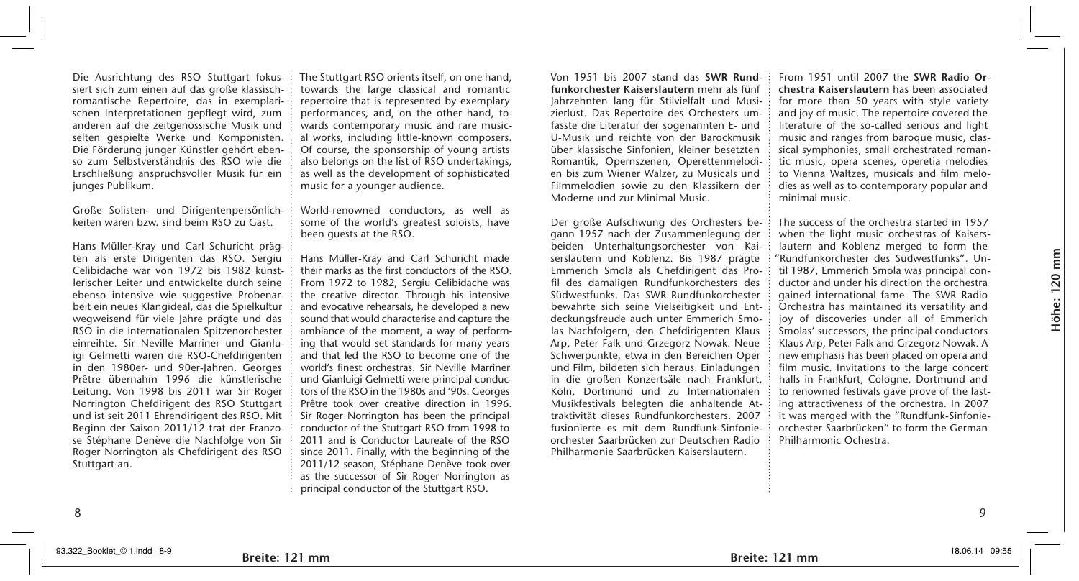Die Ausrichtung des RSO Stuttgart fokussiert sich zum einen auf das große klassischromantische Repertoire, das in exemplarischen Interpretationen gepflegt wird, zum anderen auf die zeitgenössische Musik und selten gespielte Werke und Komponisten. Die Förderung junger Künstler gehört ebenso zum Selbstverständnis des RSO wie die Erschließung anspruchsvoller Musik für ein junges Publikum.

Große Solisten- und Dirigentenpersönlichkeiten waren bzw. sind beim RSO zu Gast.

Hans Müller-Kray und Carl Schuricht prägten als erste Dirigenten das RSO. Sergiu Celibidache war von 1972 bis 1982 künstlerischer Leiter und entwickelte durch seine ebenso intensive wie suggestive Probenarbeit ein neues Klangideal, das die Spielkultur wegweisend für viele Jahre prägte und das RSO in die internationalen Spitzenorchester einreihte. Sir Neville Marriner und Gianluigi Gelmetti waren die RSO-Chefdirigenten in den 1980er- und 90er-Jahren. Georges Prêtre übernahm 1996 die künstlerische Leitung. Von 1998 bis 2011 war Sir Roger Norrington Chefdirigent des RSO Stuttgart und ist seit 2011 Ehrendirigent des RSO. Mit Beginn der Saison 2011/12 trat der Franzose Stéphane Denève die Nachfolge von Sir Roger Norrington als Chefdirigent des RSO Stuttgart an.

The Stuttgart RSO orients itself, on one hand, towards the large classical and romantic repertoire that is represented by exemplary performances, and, on the other hand, towards contemporary music and rare musical works, including little-known composers. Of course, the sponsorship of young artists also belongs on the list of RSO undertakings, as well as the development of sophisticated music for a younger audience.

World-renowned conductors, as well as some of the world's greatest soloists, have been guests at the RSO.

Hans Müller-Kray and Carl Schuricht made their marks as the first conductors of the RSO. From 1972 to 1982, Sergiu Celibidache was the creative director. Through his intensive and evocative rehearsals, he developed a new sound that would characterise and capture the ambiance of the moment, a way of performing that would set standards for many years and that led the RSO to become one of the world's finest orchestras. Sir Neville Marriner und Gianluigi Gelmetti were principal conductors of the RSO in the 1980s and '90s. Georges Prêtre took over creative direction in 1996. Sir Roger Norrington has been the principal conductor of the Stuttgart RSO from 1998 to 2011 and is Conductor Laureate of the RSO since 2011. Finally, with the beginning of the 2011/12 season, Stéphane Denève took over as the successor of Sir Roger Norrington as principal conductor of the Stuttgart RSO.

8 a Godfrey (1986) and the contract of the contract of the contract of the contract of the contract of the contract of the contract of the contract of the contract of the contract of the contract of the contract of the con

Von 1951 bis 2007 stand das **SWR Rundfunkorchester Kaiserslautern** mehr als fünf Jahrzehnten lang für Stilvielfalt und Musizierlust. Das Repertoire des Orchesters umfasste die Literatur der sogenannten E- und U-Musik und reichte von der Barockmusik über klassische Sinfonien, kleiner besetzten Romantik, Opernszenen, Operettenmelodien bis zum Wiener Walzer, zu Musicals und Filmmelodien sowie zu den Klassikern der Moderne und zur Minimal Music.

Der große Aufschwung des Orchesters begann 1957 nach der Zusammenlegung der beiden Unterhaltungsorchester von Kaiserslautern und Koblenz. Bis 1987 prägte Emmerich Smola als Chefdirigent das Profil des damaligen Rundfunkorchesters des Südwestfunks. Das SWR Rundfunkorchester bewahrte sich seine Vielseitigkeit und Entdeckungsfreude auch unter Emmerich Smolas Nachfolgern, den Chefdirigenten Klaus Arp, Peter Falk und Grzegorz Nowak. Neue Schwerpunkte, etwa in den Bereichen Oper und Film, bildeten sich heraus. Einladungen in die großen Konzertsäle nach Frankfurt, Köln, Dortmund und zu Internationalen Musikfestivals belegten die anhaltende Attraktivität dieses Rundfunkorchesters. 2007 fusionierte es mit dem Rundfunk-Sinfonieorchester Saarbrücken zur Deutschen Radio Philharmonie Saarbrücken Kaiserslautern.

From 1951 until 2007 the **SWR Radio Orchestra Kaiserslautern** has been associated for more than 50 years with style variety and joy of music. The repertoire covered the literature of the so-called serious and light music and ranges from baroque music, classical symphonies, small orchestrated romantic music, opera scenes, operetia melodies to Vienna Waltzes, musicals and film melodies as well as to contemporary popular and minimal music.

The success of the orchestra started in 1957 when the light music orchestras of Kaiserslautern and Koblenz merged to form the "Rundfunkorchester des Südwestfunks". Until 1987, Emmerich Smola was principal conductor and under his direction the orchestra gained international fame. The SWR Radio Orchestra has maintained its versatility and joy of discoveries under all of Emmerich Smolas' successors, the principal conductors Klaus Arp, Peter Falk and Grzegorz Nowak. A new emphasis has been placed on opera and film music. Invitations to the large concert halls in Frankfurt, Cologne, Dortmund and to renowned festivals gave prove of the lasting attractiveness of the orchestra. In 2007 it was merged with the "Rundfunk-Sinfonieorchester Saarbrücken" to form the German Philharmonic Ochestra.